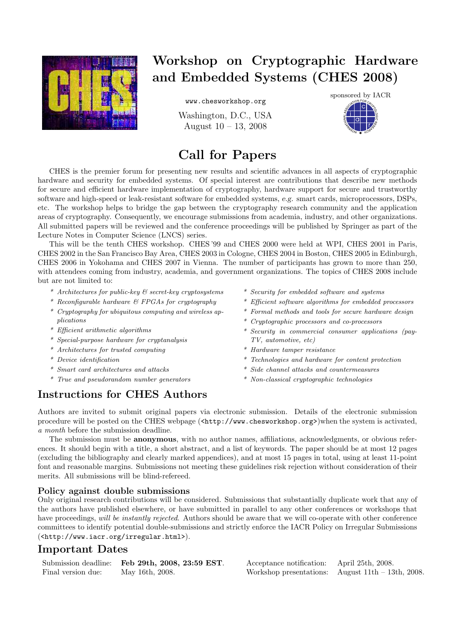

# Workshop on Cryptographic Hardware and Embedded Systems (CHES 2008)

www.chesworkshop.org

Washington, D.C., USA August 10 – 13, 2008



## Call for Papers

CHES is the premier forum for presenting new results and scientific advances in all aspects of cryptographic hardware and security for embedded systems. Of special interest are contributions that describe new methods for secure and efficient hardware implementation of cryptography, hardware support for secure and trustworthy software and high-speed or leak-resistant software for embedded systems, e.g. smart cards, microprocessors, DSPs, etc. The workshop helps to bridge the gap between the cryptography research community and the application areas of cryptography. Consequently, we encourage submissions from academia, industry, and other organizations. All submitted papers will be reviewed and the conference proceedings will be published by Springer as part of the Lecture Notes in Computer Science (LNCS) series.

This will be the tenth CHES workshop. CHES '99 and CHES 2000 were held at WPI, CHES 2001 in Paris, CHES 2002 in the San Francisco Bay Area, CHES 2003 in Cologne, CHES 2004 in Boston, CHES 2005 in Edinburgh, CHES 2006 in Yokohama and CHES 2007 in Vienna. The number of participants has grown to more than 250, with attendees coming from industry, academia, and government organizations. The topics of CHES 2008 include but are not limited to:

- $*$  Architectures for public-key  $\mathcal B$  secret-key cryptosystems
- \* Reconfigurable hardware & FPGAs for cryptography
- \* Cryptography for ubiquitous computing and wireless applications
- \* Efficient arithmetic algorithms
- \* Special-purpose hardware for cryptanalysis
- \* Architectures for trusted computing
- \* Device identification
- \* Smart card architectures and attacks
- \* True and pseudorandom number generators
- \* Security for embedded software and systems
- \* Efficient software algorithms for embedded processors
- \* Formal methods and tools for secure hardware design
- \* Cryptographic processors and co-processors
- \* Security in commercial consumer applications (pay-TV, automotive, etc)
- \* Hardware tamper resistance
- \* Technologies and hardware for content protection
- \* Side channel attacks and countermeasures
- \* Non-classical cryptographic technologies

## Instructions for CHES Authors

Authors are invited to submit original papers via electronic submission. Details of the electronic submission procedure will be posted on the CHES webpage (<http://www.chesworkshop.org>)when the system is activated, a month before the submission deadline.

The submission must be anonymous, with no author names, affiliations, acknowledgments, or obvious references. It should begin with a title, a short abstract, and a list of keywords. The paper should be at most 12 pages (excluding the bibliography and clearly marked appendices), and at most 15 pages in total, using at least 11-point font and reasonable margins. Submissions not meeting these guidelines risk rejection without consideration of their merits. All submissions will be blind-refereed.

#### Policy against double submissions

Only original research contributions will be considered. Submissions that substantially duplicate work that any of the authors have published elsewhere, or have submitted in parallel to any other conferences or workshops that have proceedings, will be instantly rejected. Authors should be aware that we will co-operate with other conference committees to identify potential double-submissions and strictly enforce the IACR Policy on Irregular Submissions (<http://www.iacr.org/irregular.html>).

#### Important Dates

| Submission deadline: | Feb 29th, 2008, 23:59 EST. |
|----------------------|----------------------------|
| Final version due:   | May 16th, 2008.            |

Acceptance notification: April 25th, 2008. Workshop presentations: August  $11th - 13th$ , 2008.